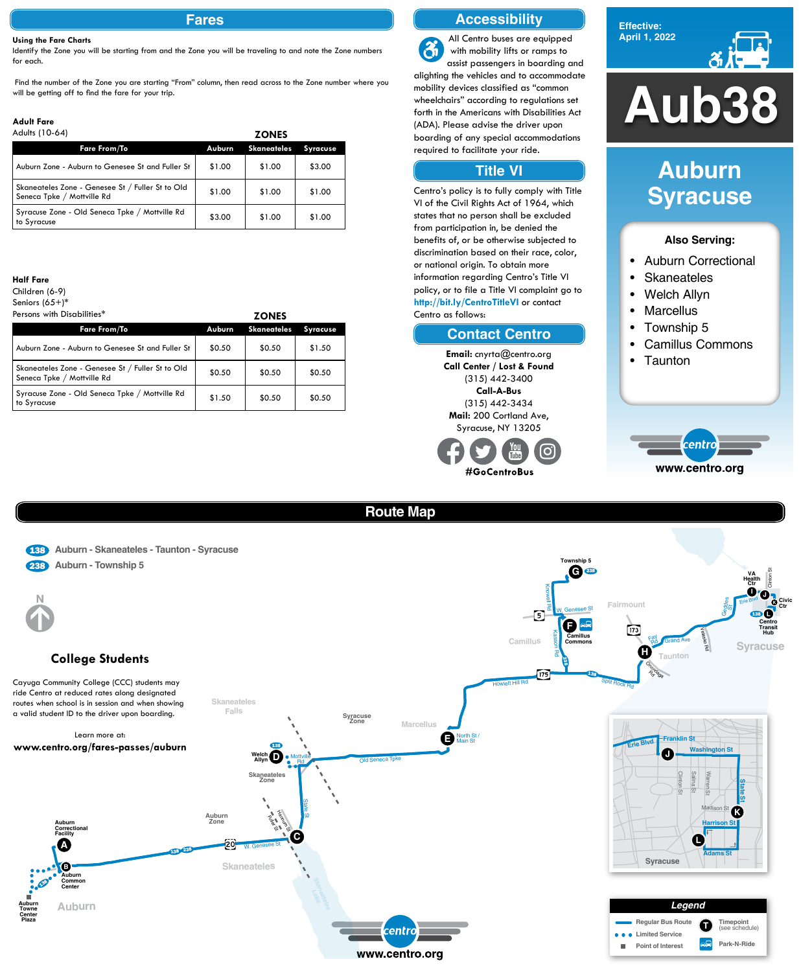**Effective: April 1, 2022**



## **Also Serving:**

- Auburn Correctional
- **Skaneateles**
- Welch Allyn
- Marcellus
- Township 5
- Camillus Commons
- Taunton



# **Auburn Syracuse**

# **Fares**

#### **Using the Fare Charts**

Identify the Zone you will be starting from and the Zone you will be traveling to and note the Zone numbers for each.

Find the number of the Zone you are starting "From" column, then read across to the Zone number where you

| Adults (10-64)                                                                 |        | <b>ZONES</b>       |                 |
|--------------------------------------------------------------------------------|--------|--------------------|-----------------|
| <b>Fare From/To</b>                                                            | Auburn | <b>Skaneateles</b> | <b>Syracuse</b> |
| Auburn Zone - Auburn to Genesee St and Fuller St                               | \$1.00 | \$1.00             | \$3.00          |
| Skaneateles Zone - Genesee St / Fuller St to Old<br>Seneca Tpke / Mottville Rd | \$1.00 | \$1.00             | \$1.00          |
| Syracuse Zone - Old Seneca Tpke / Mottville Rd<br>to Syracuse                  | \$3.00 | \$1.00             | \$1.00          |

#### **Adult Fare** Adults (10-64)

#### **Half Fare**

Children (6-9) Seniors (65+)\*

| Persons with Disabilities*                                                     |        | <b>ZONES</b>       |                 |  |  |
|--------------------------------------------------------------------------------|--------|--------------------|-----------------|--|--|
| <b>Fare From/To</b>                                                            | Auburn | <b>Skaneateles</b> | <b>Syracuse</b> |  |  |
| Auburn Zone - Auburn to Genesee St and Fuller St                               | \$0.50 | \$0.50             | \$1.50          |  |  |
| Skaneateles Zone - Genesee St / Fuller St to Old<br>Seneca Tpke / Mottville Rd | \$0.50 | \$0.50             | \$0.50          |  |  |
| Syracuse Zone - Old Seneca Tpke / Mottville Rd<br>to Syracuse                  | \$1.50 | \$0.50             | \$0.50          |  |  |

# **Accessibility**

## **Contact Centro**

# **Title VI**

All Centro buses are equipped  $\mathbf{\hat{a}}$ with mobility lifts or ramps to assist passengers in boarding and alighting the vehicles and to accommodate Will be getting off to find the fare for your trip.<br>
Will be getting off to find the fare for your trip.<br>
Adult Fare (ADA) Please advise the driver upon mobility devices classified as "common wheelchairs" according to regulations set forth in the Americans with Disabilities Act (ADA). Please advise the driver upon boarding of any special accommodations required to facilitate your ride.

> Centro's policy is to fully comply with Title VI of the Civil Rights Act of 1964, which states that no person shall be excluded from participation in, be denied the benefits of, or be otherwise subjected to discrimination based on their race, color, or national origin. To obtain more information regarding Centro's Title VI policy, or to file a Title VI complaint go to **http://bit.ly/CentroTitleVI** or contact Centro as follows:

> > **Email:** cnyrta@centro.org **Call Center / Lost & Found** (315) 442-3400 **Call-A-Bus** (315) 442-3434 **Mail:** 200 Cortland Ave, Syracuse, NY 13205



# **Route Map**